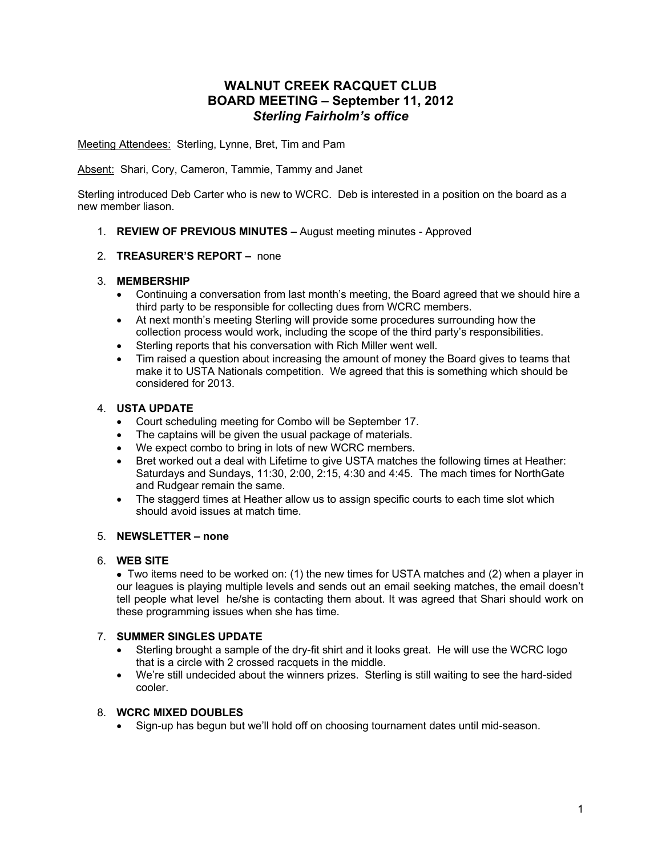# **WALNUT CREEK RACQUET CLUB BOARD MEETING – September 11, 2012** *Sterling Fairholm's office*

Meeting Attendees: Sterling, Lynne, Bret, Tim and Pam

Absent: Shari, Cory, Cameron, Tammie, Tammy and Janet

Sterling introduced Deb Carter who is new to WCRC. Deb is interested in a position on the board as a new member liason.

1. **REVIEW OF PREVIOUS MINUTES –** August meeting minutes - Approved

### 2. **TREASURER'S REPORT –** none

### 3. **MEMBERSHIP**

- Continuing a conversation from last month's meeting, the Board agreed that we should hire a third party to be responsible for collecting dues from WCRC members.
- At next month's meeting Sterling will provide some procedures surrounding how the collection process would work, including the scope of the third party's responsibilities.
- Sterling reports that his conversation with Rich Miller went well.
- Tim raised a question about increasing the amount of money the Board gives to teams that make it to USTA Nationals competition. We agreed that this is something which should be considered for 2013.

### 4. **USTA UPDATE**

- Court scheduling meeting for Combo will be September 17.
- The captains will be given the usual package of materials.
- We expect combo to bring in lots of new WCRC members.
- Bret worked out a deal with Lifetime to give USTA matches the following times at Heather: Saturdays and Sundays, 11:30, 2:00, 2:15, 4:30 and 4:45. The mach times for NorthGate and Rudgear remain the same.
- The staggerd times at Heather allow us to assign specific courts to each time slot which should avoid issues at match time.

# 5. **NEWSLETTER – none**

#### 6. **WEB SITE**

• Two items need to be worked on: (1) the new times for USTA matches and (2) when a player in our leagues is playing multiple levels and sends out an email seeking matches, the email doesn't tell people what level he/she is contacting them about. It was agreed that Shari should work on these programming issues when she has time.

### 7. **SUMMER SINGLES UPDATE**

- Sterling brought a sample of the dry-fit shirt and it looks great. He will use the WCRC logo that is a circle with 2 crossed racquets in the middle.
- We're still undecided about the winners prizes. Sterling is still waiting to see the hard-sided cooler.

# 8. **WCRC MIXED DOUBLES**

• Sign-up has begun but we'll hold off on choosing tournament dates until mid-season.